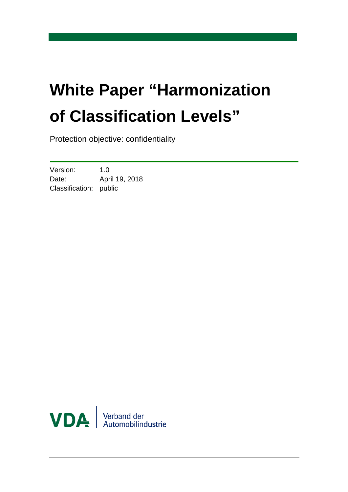# **White Paper "Harmonization of Classification Levels"**

Protection objective: confidentiality

Version: 1.0 Date: April 19, 2018 Classification: public

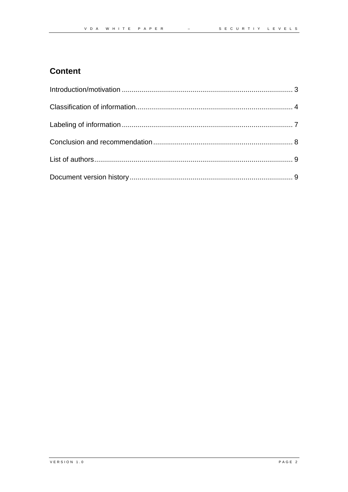#### **Content**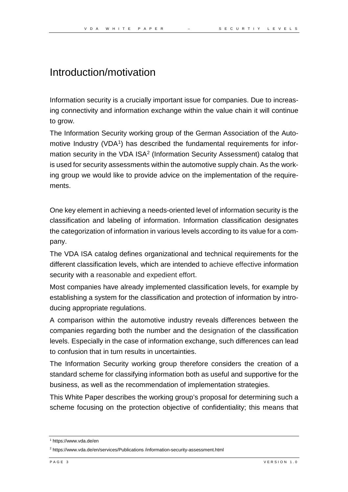#### Introduction/motivation

Information security is a crucially important issue for companies. Due to increasing connectivity and information exchange within the value chain it will continue to grow.

The Information Security working group of the German Association of the Automotive Industry (VDA<sup>1</sup>) has described the fundamental requirements for infor-mation security in the VDA ISA<sup>[2](#page-2-1)</sup> (Information Security Assessment) catalog that is used for security assessments within the automotive supply chain. As the working group we would like to provide advice on the implementation of the requirements.

One key element in achieving a needs-oriented level of information security is the classification and labeling of information. Information classification designates the categorization of information in various levels according to its value for a company.

The VDA ISA catalog defines organizational and technical requirements for the different classification levels, which are intended to achieve effective information security with a reasonable and expedient effort.

Most companies have already implemented classification levels, for example by establishing a system for the classification and protection of information by introducing appropriate regulations.

A comparison within the automotive industry reveals differences between the companies regarding both the number and the designation of the classification levels. Especially in the case of information exchange, such differences can lead to confusion that in turn results in uncertainties.

The Information Security working group therefore considers the creation of a standard scheme for classifying information both as useful and supportive for the business, as well as the recommendation of implementation strategies.

This White Paper describes the working group's proposal for determining such a scheme focusing on the protection objective of confidentiality; this means that

<span id="page-2-0"></span><sup>1</sup> https://www.vda.de/en

<span id="page-2-1"></span><sup>2</sup> https://www.vda.de/en/services/Publications /information-security-assessment.html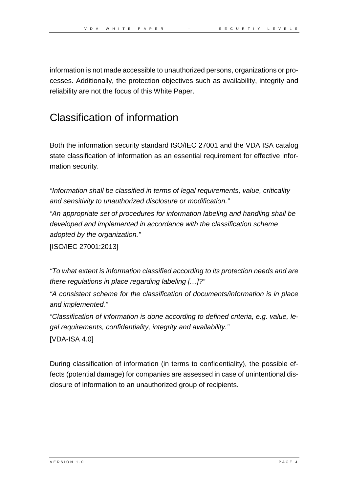information is not made accessible to unauthorized persons, organizations or processes. Additionally, the protection objectives such as availability, integrity and reliability are not the focus of this White Paper.

### Classification of information

Both the information security standard ISO/IEC 27001 and the VDA ISA catalog state classification of information as an essential requirement for effective information security.

*"Information shall be classified in terms of legal requirements, value, criticality and sensitivity to unauthorized disclosure or modification."*

*"An appropriate set of procedures for information labeling and handling shall be developed and implemented in accordance with the classification scheme adopted by the organization."*

[ISO/IEC 27001:2013]

*"To what extent is information classified according to its protection needs and are there regulations in place regarding labeling […]?"*

*"A consistent scheme for the classification of documents/information is in place and implemented."*

*"Classification of information is done according to defined criteria, e.g. value, legal requirements, confidentiality, integrity and availability."*

```
[VDA-ISA 4.0]
```
During classification of information (in terms to confidentiality), the possible effects (potential damage) for companies are assessed in case of unintentional disclosure of information to an unauthorized group of recipients.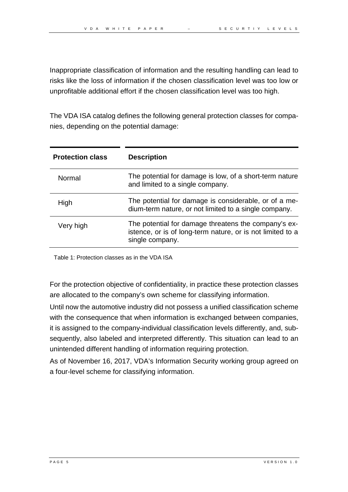Inappropriate classification of information and the resulting handling can lead to risks like the loss of information if the chosen classification level was too low or unprofitable additional effort if the chosen classification level was too high.

The VDA ISA catalog defines the following general protection classes for companies, depending on the potential damage:

| <b>Protection class</b> | <b>Description</b>                                                                                                                    |
|-------------------------|---------------------------------------------------------------------------------------------------------------------------------------|
| Normal                  | The potential for damage is low, of a short-term nature<br>and limited to a single company.                                           |
| High                    | The potential for damage is considerable, or of a me-<br>dium-term nature, or not limited to a single company.                        |
| Very high               | The potential for damage threatens the company's ex-<br>istence, or is of long-term nature, or is not limited to a<br>single company. |

Table 1: Protection classes as in the VDA ISA

For the protection objective of confidentiality, in practice these protection classes are allocated to the company's own scheme for classifying information.

Until now the automotive industry did not possess a unified classification scheme with the consequence that when information is exchanged between companies, it is assigned to the company-individual classification levels differently, and, subsequently, also labeled and interpreted differently. This situation can lead to an unintended different handling of information requiring protection.

As of November 16, 2017, VDA's Information Security working group agreed on a four-level scheme for classifying information.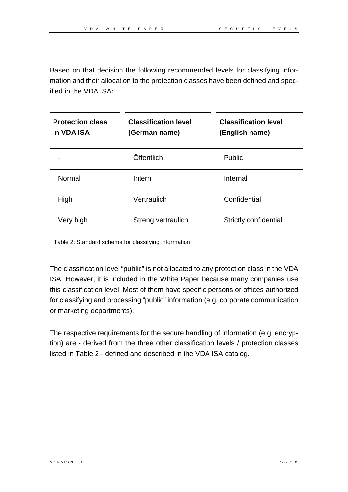Based on that decision the following recommended levels for classifying information and their allocation to the protection classes have been defined and specified in the VDA ISA:

| <b>Protection class</b><br>in VDA ISA | <b>Classification level</b><br>(German name) | <b>Classification level</b><br>(English name) |
|---------------------------------------|----------------------------------------------|-----------------------------------------------|
|                                       | Öffentlich                                   | Public                                        |
| Normal                                | Intern                                       | Internal                                      |
| High                                  | Vertraulich                                  | Confidential                                  |
| Very high                             | Streng vertraulich                           | Strictly confidential                         |

Table 2: Standard scheme for classifying information

The classification level "public" is not allocated to any protection class in the VDA ISA. However, it is included in the White Paper because many companies use this classification level. Most of them have specific persons or offices authorized for classifying and processing "public" information (e.g. corporate communication or marketing departments).

The respective requirements for the secure handling of information (e.g. encryption) are - derived from the three other classification levels / protection classes listed in Table 2 - defined and described in the VDA ISA catalog.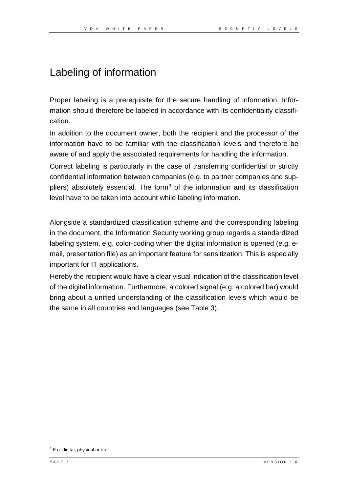### Labeling of information

Proper labeling is a prerequisite for the secure handling of information. Information should therefore be labeled in accordance with its confidentiality classification.

In addition to the document owner, both the recipient and the processor of the information have to be familiar with the classification levels and therefore be aware of and apply the associated requirements for handling the information.

Correct labeling is particularly in the case of transferring confidential or strictly confidential information between companies (e.g. to partner companies and sup-pliers) absolutely essential. The form<sup>[3](#page-6-0)</sup> of the information and its classification level have to be taken into account while labeling information.

Alongside a standardized classification scheme and the corresponding labeling in the document, the Information Security working group regards a standardized labeling system, e.g. color-coding when the digital information is opened (e.g. email, presentation file) as an important feature for sensitization. This is especially important for IT applications.

Hereby the recipient would have a clear visual indication of the classification level of the digital information. Furthermore, a colored signal (e.g. a colored bar) would bring about a unified understanding of the classification levels which would be the same in all countries and languages (see Table 3).

<span id="page-6-0"></span><sup>&</sup>lt;sup>3</sup> E.g. digital, physical or oral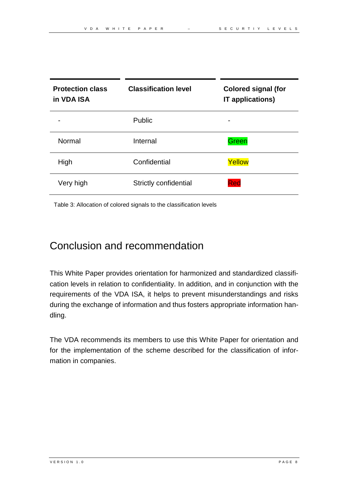| <b>Protection class</b><br>in VDA ISA | <b>Classification level</b>  | <b>Colored signal (for</b><br><b>IT applications)</b> |
|---------------------------------------|------------------------------|-------------------------------------------------------|
|                                       | <b>Public</b>                |                                                       |
| Normal                                | Internal                     | Green                                                 |
| High                                  | Confidential                 | Yellow                                                |
| Very high                             | <b>Strictly confidential</b> | Red                                                   |

Table 3: Allocation of colored signals to the classification levels

#### Conclusion and recommendation

This White Paper provides orientation for harmonized and standardized classification levels in relation to confidentiality. In addition, and in conjunction with the requirements of the VDA ISA, it helps to prevent misunderstandings and risks during the exchange of information and thus fosters appropriate information handling.

The VDA recommends its members to use this White Paper for orientation and for the implementation of the scheme described for the classification of information in companies.